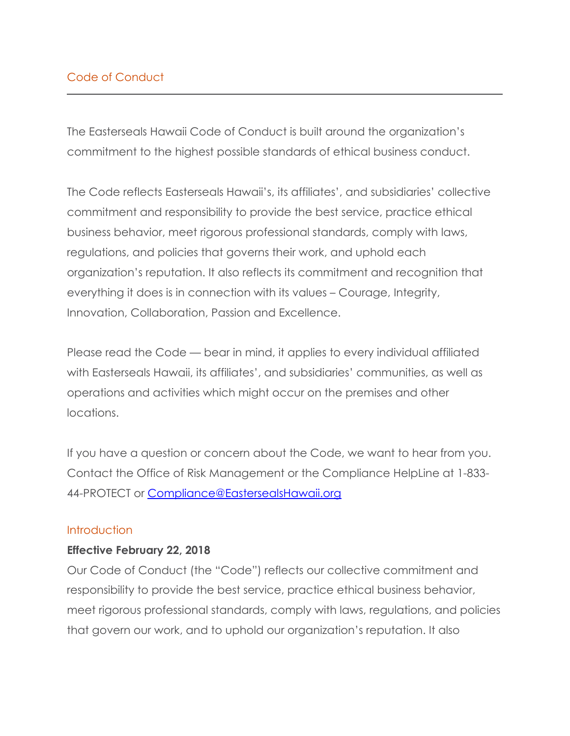The Easterseals Hawaii Code of Conduct is built around the organization's commitment to the highest possible standards of ethical business conduct.

The Code reflects Easterseals Hawaii's, its affiliates', and subsidiaries' collective commitment and responsibility to provide the best service, practice ethical business behavior, meet rigorous professional standards, comply with laws, regulations, and policies that governs their work, and uphold each organization's reputation. It also reflects its commitment and recognition that everything it does is in connection with its values – Courage, Integrity, Innovation, Collaboration, Passion and Excellence.

Please read the Code — bear in mind, it applies to every individual affiliated with Easterseals Hawaii, its affiliates', and subsidiaries' communities, as well as operations and activities which might occur on the premises and other locations.

If you have a question or concern about the Code, we want to hear from you. Contact the Office of Risk Management or the Compliance HelpLine at 1-833- 44-PROTECT or Compliance@EastersealsHawaii.org

#### **Introduction**

#### **Effective February 22, 2018**

Our Code of Conduct (the "Code") reflects our collective commitment and responsibility to provide the best service, practice ethical business behavior, meet rigorous professional standards, comply with laws, regulations, and policies that govern our work, and to uphold our organization's reputation. It also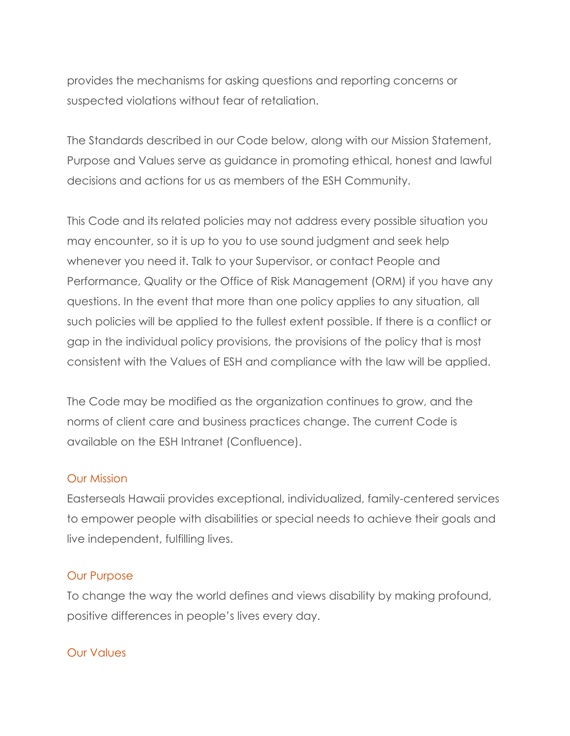provides the mechanisms for asking questions and reporting concerns or suspected violations without fear of retaliation.

The Standards described in our Code below, along with our Mission Statement, Purpose and Values serve as guidance in promoting ethical, honest and lawful decisions and actions for us as members of the ESH Community.

This Code and its related policies may not address every possible situation you may encounter, so it is up to you to use sound judgment and seek help whenever you need it. Talk to your Supervisor, or contact People and Performance, Quality or the Office of Risk Management (ORM) if you have any questions. In the event that more than one policy applies to any situation, all such policies will be applied to the fullest extent possible. If there is a conflict or gap in the individual policy provisions, the provisions of the policy that is most consistent with the Values of ESH and compliance with the law will be applied.

The Code may be modified as the organization continues to grow, and the norms of client care and business practices change. The current Code is available on the ESH Intranet (Confluence).

#### Our Mission

Easterseals Hawaii provides exceptional, individualized, family-centered services to empower people with disabilities or special needs to achieve their goals and live independent, fulfilling lives.

#### Our Purpose

To change the way the world defines and views disability by making profound, positive differences in people's lives every day.

#### Our Values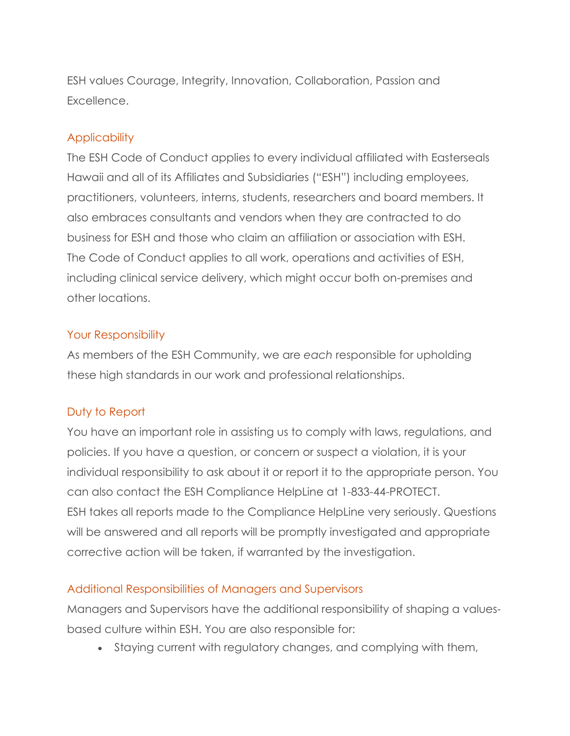ESH values Courage, Integrity, Innovation, Collaboration, Passion and Excellence.

## **Applicability**

The ESH Code of Conduct applies to every individual affiliated with Easterseals Hawaii and all of its Affiliates and Subsidiaries ("ESH") including employees, practitioners, volunteers, interns, students, researchers and board members. It also embraces consultants and vendors when they are contracted to do business for ESH and those who claim an affiliation or association with ESH. The Code of Conduct applies to all work, operations and activities of ESH, including clinical service delivery, which might occur both on-premises and other locations.

#### Your Responsibility

As members of the ESH Community, we are *each* responsible for upholding these high standards in our work and professional relationships.

## Duty to Report

You have an important role in assisting us to comply with laws, regulations, and policies. If you have a question, or concern or suspect a violation, it is your individual responsibility to ask about it or report it to the appropriate person. You can also contact the ESH Compliance HelpLine at 1-833-44-PROTECT. ESH takes all reports made to the Compliance HelpLine very seriously. Questions will be answered and all reports will be promptly investigated and appropriate corrective action will be taken, if warranted by the investigation.

## Additional Responsibilities of Managers and Supervisors

Managers and Supervisors have the additional responsibility of shaping a valuesbased culture within ESH. You are also responsible for:

• Staying current with regulatory changes, and complying with them,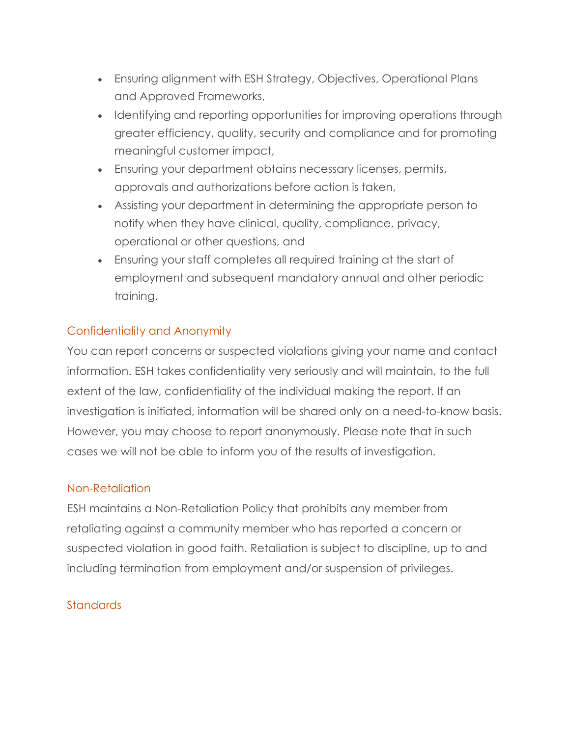- Ensuring alignment with ESH Strategy, Objectives, Operational Plans and Approved Frameworks,
- Identifying and reporting opportunities for improving operations through greater efficiency, quality, security and compliance and for promoting meaningful customer impact,
- Ensuring your department obtains necessary licenses, permits, approvals and authorizations before action is taken,
- Assisting your department in determining the appropriate person to notify when they have clinical, quality, compliance, privacy, operational or other questions, and
- Ensuring your staff completes all required training at the start of employment and subsequent mandatory annual and other periodic training.

# Confidentiality and Anonymity

You can report concerns or suspected violations giving your name and contact information. ESH takes confidentiality very seriously and will maintain, to the full extent of the law, confidentiality of the individual making the report. If an investigation is initiated, information will be shared only on a need-to-know basis. However, you may choose to report anonymously. Please note that in such cases we will not be able to inform you of the results of investigation.

#### Non-Retaliation

ESH maintains a Non-Retaliation Policy that prohibits any member from retaliating against a community member who has reported a concern or suspected violation in good faith. Retaliation is subject to discipline, up to and including termination from employment and/or suspension of privileges.

## **Standards**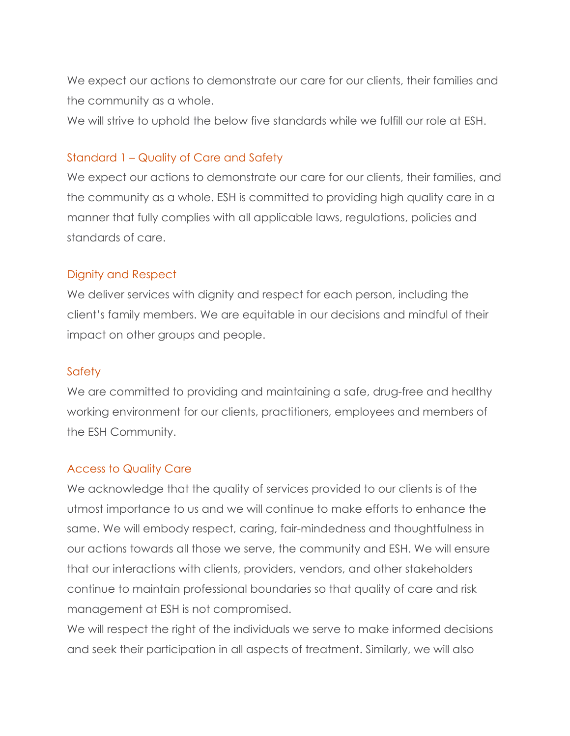We expect our actions to demonstrate our care for our clients, their families and the community as a whole.

We will strive to uphold the below five standards while we fulfill our role at ESH.

## Standard 1 – Quality of Care and Safety

We expect our actions to demonstrate our care for our clients, their families, and the community as a whole. ESH is committed to providing high quality care in a manner that fully complies with all applicable laws, regulations, policies and standards of care.

#### Dignity and Respect

We deliver services with dignity and respect for each person, including the client's family members. We are equitable in our decisions and mindful of their impact on other groups and people.

## **Safety**

We are committed to providing and maintaining a safe, drug-free and healthy working environment for our clients, practitioners, employees and members of the ESH Community.

## Access to Quality Care

We acknowledge that the quality of services provided to our clients is of the utmost importance to us and we will continue to make efforts to enhance the same. We will embody respect, caring, fair-mindedness and thoughtfulness in our actions towards all those we serve, the community and ESH. We will ensure that our interactions with clients, providers, vendors, and other stakeholders continue to maintain professional boundaries so that quality of care and risk management at ESH is not compromised.

We will respect the right of the individuals we serve to make informed decisions and seek their participation in all aspects of treatment. Similarly, we will also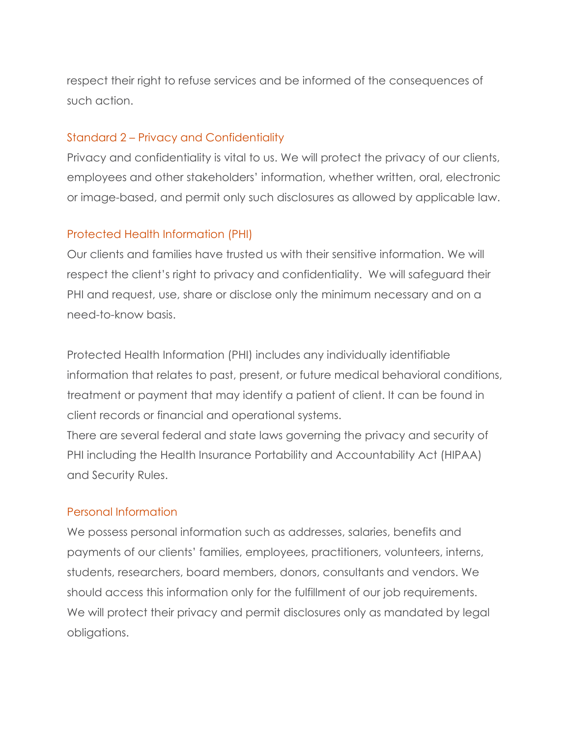respect their right to refuse services and be informed of the consequences of such action.

#### Standard 2 – Privacy and Confidentiality

Privacy and confidentiality is vital to us. We will protect the privacy of our clients, employees and other stakeholders' information, whether written, oral, electronic or image-based, and permit only such disclosures as allowed by applicable law.

## Protected Health Information (PHI)

Our clients and families have trusted us with their sensitive information. We will respect the client's right to privacy and confidentiality. We will safeguard their PHI and request, use, share or disclose only the minimum necessary and on a need-to-know basis.

Protected Health Information (PHI) includes any individually identifiable information that relates to past, present, or future medical behavioral conditions, treatment or payment that may identify a patient of client. It can be found in client records or financial and operational systems.

There are several federal and state laws governing the privacy and security of PHI including the Health Insurance Portability and Accountability Act (HIPAA) and Security Rules.

## Personal Information

We possess personal information such as addresses, salaries, benefits and payments of our clients' families, employees, practitioners, volunteers, interns, students, researchers, board members, donors, consultants and vendors. We should access this information only for the fulfillment of our job requirements. We will protect their privacy and permit disclosures only as mandated by legal obligations.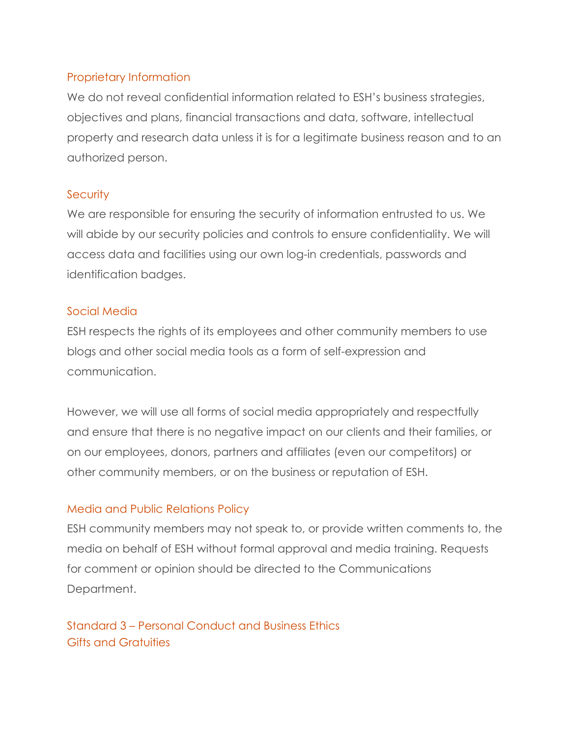## Proprietary Information

We do not reveal confidential information related to ESH's business strategies, objectives and plans, financial transactions and data, software, intellectual property and research data unless it is for a legitimate business reason and to an authorized person.

#### **Security**

We are responsible for ensuring the security of information entrusted to us. We will abide by our security policies and controls to ensure confidentiality. We will access data and facilities using our own log-in credentials, passwords and identification badges.

#### Social Media

ESH respects the rights of its employees and other community members to use blogs and other social media tools as a form of self-expression and communication.

However, we will use all forms of social media appropriately and respectfully and ensure that there is no negative impact on our clients and their families, or on our employees, donors, partners and affiliates (even our competitors) or other community members, or on the business or reputation of ESH.

## Media and Public Relations Policy

ESH community members may not speak to, or provide written comments to, the media on behalf of ESH without formal approval and media training. Requests for comment or opinion should be directed to the Communications Department.

Standard 3 – Personal Conduct and Business Ethics Gifts and Gratuities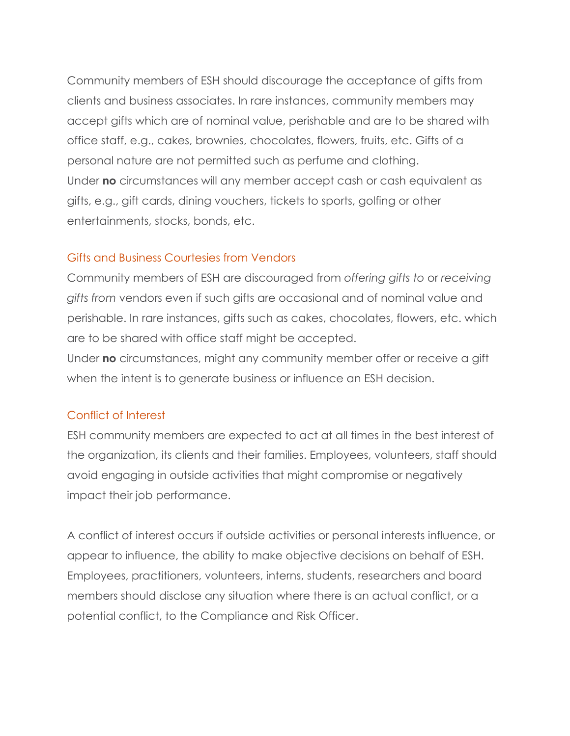Community members of ESH should discourage the acceptance of gifts from clients and business associates. In rare instances, community members may accept gifts which are of nominal value, perishable and are to be shared with office staff, e.g., cakes, brownies, chocolates, flowers, fruits, etc. Gifts of a personal nature are not permitted such as perfume and clothing. Under **no** circumstances will any member accept cash or cash equivalent as gifts, e.g., gift cards, dining vouchers, tickets to sports, golfing or other entertainments, stocks, bonds, etc.

#### Gifts and Business Courtesies from Vendors

Community members of ESH are discouraged from *offering gifts to* or *receiving gifts from* vendors even if such gifts are occasional and of nominal value and perishable. In rare instances, gifts such as cakes, chocolates, flowers, etc. which are to be shared with office staff might be accepted.

Under **no** circumstances, might any community member offer or receive a gift when the intent is to generate business or influence an ESH decision.

#### Conflict of Interest

ESH community members are expected to act at all times in the best interest of the organization, its clients and their families. Employees, volunteers, staff should avoid engaging in outside activities that might compromise or negatively impact their job performance.

A conflict of interest occurs if outside activities or personal interests influence, or appear to influence, the ability to make objective decisions on behalf of ESH. Employees, practitioners, volunteers, interns, students, researchers and board members should disclose any situation where there is an actual conflict, or a potential conflict, to the Compliance and Risk Officer.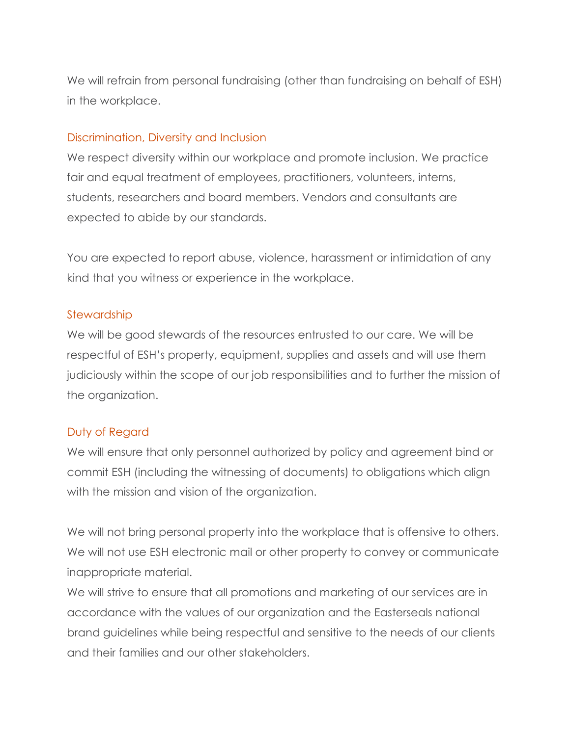We will refrain from personal fundraising (other than fundraising on behalf of ESH) in the workplace.

#### Discrimination, Diversity and Inclusion

We respect diversity within our workplace and promote inclusion. We practice fair and equal treatment of employees, practitioners, volunteers, interns, students, researchers and board members. Vendors and consultants are expected to abide by our standards.

You are expected to report abuse, violence, harassment or intimidation of any kind that you witness or experience in the workplace.

#### **Stewardship**

We will be good stewards of the resources entrusted to our care. We will be respectful of ESH's property, equipment, supplies and assets and will use them judiciously within the scope of our job responsibilities and to further the mission of the organization.

## Duty of Regard

We will ensure that only personnel authorized by policy and agreement bind or commit ESH (including the witnessing of documents) to obligations which align with the mission and vision of the organization.

We will not bring personal property into the workplace that is offensive to others. We will not use ESH electronic mail or other property to convey or communicate inappropriate material.

We will strive to ensure that all promotions and marketing of our services are in accordance with the values of our organization and the Easterseals national brand guidelines while being respectful and sensitive to the needs of our clients and their families and our other stakeholders.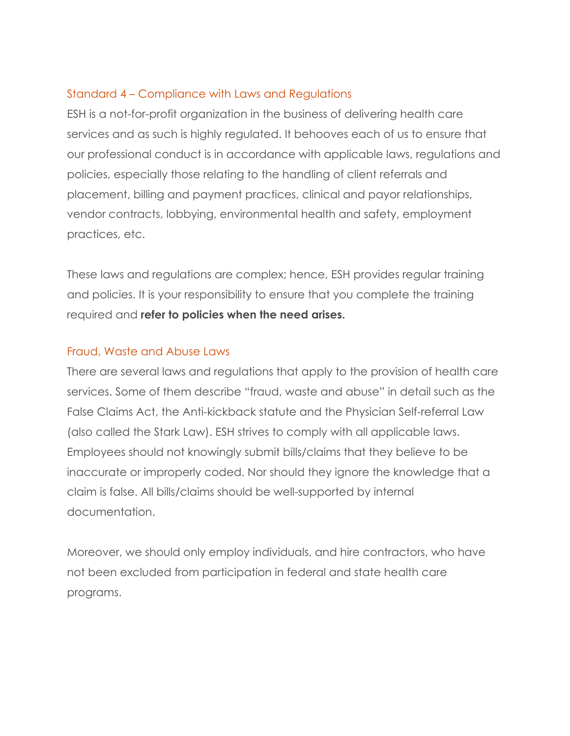#### Standard 4 – Compliance with Laws and Regulations

ESH is a not-for-profit organization in the business of delivering health care services and as such is highly regulated. It behooves each of us to ensure that our professional conduct is in accordance with applicable laws, regulations and policies, especially those relating to the handling of client referrals and placement, billing and payment practices, clinical and payor relationships, vendor contracts, lobbying, environmental health and safety, employment practices, etc.

These laws and regulations are complex; hence, ESH provides regular training and policies. It is your responsibility to ensure that you complete the training required and **refer to policies when the need arises.**

#### Fraud, Waste and Abuse Laws

There are several laws and regulations that apply to the provision of health care services. Some of them describe "fraud, waste and abuse" in detail such as the False Claims Act, the Anti-kickback statute and the Physician Self-referral Law (also called the Stark Law). ESH strives to comply with all applicable laws. Employees should not knowingly submit bills/claims that they believe to be inaccurate or improperly coded. Nor should they ignore the knowledge that a claim is false. All bills/claims should be well-supported by internal documentation.

Moreover, we should only employ individuals, and hire contractors, who have not been excluded from participation in federal and state health care programs.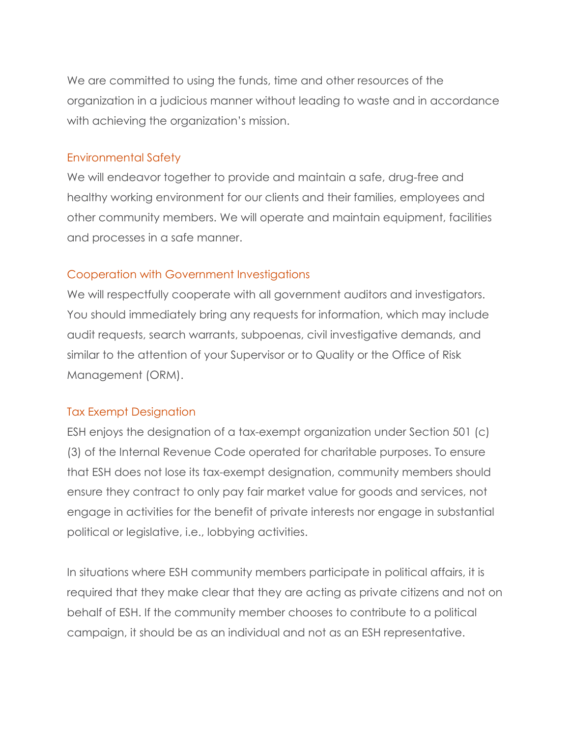We are committed to using the funds, time and other resources of the organization in a judicious manner without leading to waste and in accordance with achieving the organization's mission.

#### Environmental Safety

We will endeavor together to provide and maintain a safe, drug-free and healthy working environment for our clients and their families, employees and other community members. We will operate and maintain equipment, facilities and processes in a safe manner.

## Cooperation with Government Investigations

We will respectfully cooperate with all government auditors and investigators. You should immediately bring any requests for information, which may include audit requests, search warrants, subpoenas, civil investigative demands, and similar to the attention of your Supervisor or to Quality or the Office of Risk Management (ORM).

## Tax Exempt Designation

ESH enjoys the designation of a tax-exempt organization under Section 501 (c) (3) of the Internal Revenue Code operated for charitable purposes. To ensure that ESH does not lose its tax-exempt designation, community members should ensure they contract to only pay fair market value for goods and services, not engage in activities for the benefit of private interests nor engage in substantial political or legislative, i.e., lobbying activities.

In situations where ESH community members participate in political affairs, it is required that they make clear that they are acting as private citizens and not on behalf of ESH. If the community member chooses to contribute to a political campaign, it should be as an individual and not as an ESH representative.